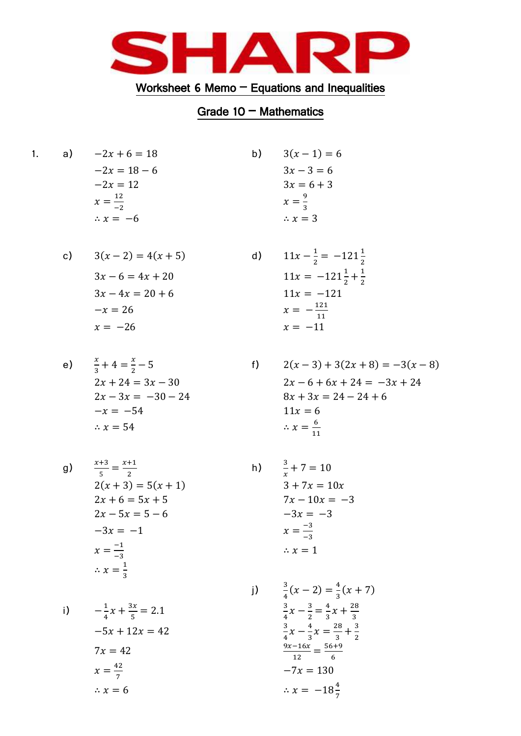

## Worksheet 6 Memo  $-$  Equations and Inequalities

## Grade  $10 - \text{Mathematics}$

b)

 $f)$ 

a)  $-2x + 6 = 18$  $1.$  $-2x = 18 - 6$  $-2x = 12$  $x = \frac{12}{-2}$  $\therefore x = -6$ 

c) 
$$
3(x-2) = 4(x + 5)
$$
  
\n $3x - 6 = 4x + 20$   
\n $3x - 4x = 20 + 6$   
\n $-x = 26$   
\n $x = -26$ 

e) 
$$
\frac{x}{3} + 4 = \frac{x}{2} - 5
$$

$$
2x + 24 = 3x - 30
$$

$$
2x - 3x = -30 - 24
$$

$$
-x = -54
$$

$$
\therefore x = 54
$$

g) 
$$
\frac{x+3}{5} = \frac{x+1}{2}
$$
  
\n
$$
2(x+3) = 5(x+1)
$$
  
\n
$$
2x + 6 = 5x + 5
$$
  
\n
$$
2x - 5x = 5 - 6
$$
  
\n
$$
-3x = -1
$$
  
\n
$$
x = \frac{-1}{3}
$$
  
\n
$$
\therefore x = \frac{1}{3}
$$

i) 
$$
-\frac{1}{4}x + \frac{3x}{5} = 2.1
$$
  
\n $-5x + 12x = 42$   
\n $x = \frac{42}{7}$   
\n $x = 6$   
\nii)  $\frac{3}{4}(x - 2)$   
\n $\frac{3}{4}x - \frac{3}{2}$   
\n $\frac{3}{4}x - \frac{4}{3}$   
\n $\frac{3}{4}x - \frac{4}{3}$   
\n $\frac{9x - 16x}{12}$   
\n $\therefore x = 6$   
\n $\therefore x =$ 

d) 
$$
11x - \frac{1}{2} = -121\frac{1}{2}
$$

$$
11x = -121\frac{1}{2} + \frac{1}{2}
$$

$$
11x = -121
$$

$$
x = -\frac{121}{11}
$$

$$
x = -11
$$

 $3(x-1) = 6$ 

 $3x - 3 = 6$ 

 $3x = 6 + 3$ 

 $x=\frac{9}{3}$  $\therefore x = 3$ 

$$
2(x-3) + 3(2x + 8) = -3(x - 8)
$$
  
\n
$$
2x - 6 + 6x + 24 = -3x + 24
$$
  
\n
$$
8x + 3x = 24 - 24 + 6
$$
  
\n
$$
11x = 6
$$
  
\n
$$
\therefore x = \frac{6}{11}
$$

h) 
$$
\frac{3}{x} + 7 = 10
$$
  
\n $3 + 7x = 10x$   
\n $7x - 10x = -3$   
\n $-3x = -3$   
\n $x = \frac{-3}{-3}$   
\n $\therefore x = 1$ 

$$
\frac{3}{4}(x-2) = \frac{4}{3}(x+7)
$$
  

$$
\frac{3}{4}x - \frac{3}{2} = \frac{4}{3}x + \frac{28}{3}
$$
  

$$
\frac{3}{4}x - \frac{4}{3}x = \frac{28}{3} + \frac{3}{2}
$$
  

$$
\frac{9x-16x}{12} = \frac{56+9}{6}
$$
  

$$
-7x = 130
$$
  

$$
\therefore x = -18\frac{4}{7}
$$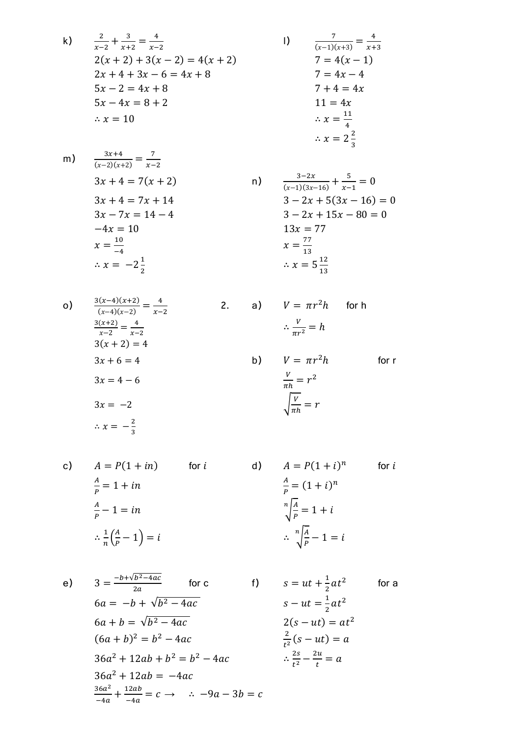$$
\frac{2}{x-2} + \frac{3}{x+2} = \frac{4}{x-2}
$$
  
2(x + 2) + 3(x - 2) = 4(x + 2)  
2x + 4 + 3x - 6 = 4x + 8  
5x - 2 = 4x + 8  
5x - 4x = 8 + 2  
... x = 10

 $\mathsf{k}$ 

$$
\frac{7}{(x-1)(x+3)} = \frac{4}{x+3}
$$
  
\n
$$
7 = 4(x - 1)
$$
  
\n
$$
7 = 4x - 4
$$
  
\n
$$
7 + 4 = 4x
$$
  
\n
$$
11 = 4x
$$
  
\n
$$
\therefore x = \frac{11}{4}
$$
  
\n
$$
\therefore x = 2\frac{2}{3}
$$

 $\vert$ 

 $n)$ 

m) 
$$
\frac{3x+4}{(x-2)(x+2)} = \frac{7}{x-2}
$$

$$
3x + 4 = 7(x + 2)
$$

$$
3x + 4 = 7x + 14
$$

$$
3x - 7x = 14 - 4
$$

$$
-4x = 10
$$

$$
x = \frac{10}{-4}
$$

$$
\therefore x = -2\frac{1}{2}
$$

$$
\frac{3-2x}{(x-1)(3x-16)} + \frac{5}{x-1} = 0
$$
  
\n
$$
3 - 2x + 5(3x - 16) = 0
$$
  
\n
$$
3 - 2x + 15x - 80 = 0
$$
  
\n
$$
13x = 77
$$
  
\n
$$
x = \frac{77}{13}
$$
  
\n
$$
\therefore x = 5\frac{12}{13}
$$

for  $r$ 

o) 
$$
\frac{3(x-4)(x+2)}{(x-4)(x-2)} = \frac{4}{x-2}
$$
  
\n
$$
\frac{3(x+2)}{x-2} = \frac{4}{x-2}
$$
  
\n
$$
3(x+2) = 4
$$
  
\n
$$
3x + 6 = 4
$$
  
\n
$$
3x = 4 - 6
$$
  
\n
$$
3x = -2
$$
  
\n
$$
\therefore x = -\frac{2}{3}
$$
  
\n
$$
x = -\frac{2}{3}
$$
  
\n
$$
x = -\frac{2}{3}
$$
  
\n
$$
x = -\frac{2}{3}
$$
  
\n
$$
x = -\frac{2}{3}
$$
  
\n
$$
x = -\frac{2}{3}
$$
  
\n
$$
x = -\frac{2}{3}
$$
  
\n
$$
x = -\frac{2}{3}
$$
  
\n
$$
x = -\frac{2}{3}
$$
  
\n
$$
x = -\frac{2}{3}
$$
  
\n
$$
x = -\frac{2}{3}
$$
  
\n
$$
x = \frac{2}{3}
$$
  
\n
$$
x = -\frac{2}{3}
$$
  
\n
$$
x = \frac{2}{3}
$$
  
\n
$$
x = \frac{2}{3}
$$
  
\n
$$
x = \frac{2}{3}
$$
  
\n
$$
x = \frac{2}{3}
$$
  
\n
$$
x = \frac{2}{3}
$$
  
\n
$$
x = \frac{2}{3}
$$
  
\n
$$
x = \frac{2}{3}
$$
  
\n
$$
x = \frac{2}{3}
$$
  
\n
$$
x = \frac{2}{3}
$$
  
\n
$$
x = \frac{2}{3}
$$
  
\n
$$
x = \frac{2}{3}
$$
  
\n
$$
x = \frac{2}{3}
$$
  
\n
$$
x = \frac{2}{3}
$$
  
\n
$$
x = \frac{2}{3}
$$
  
\n
$$
x = \frac{2}{3}
$$
  
\n
$$
x = \frac{2}{3}
$$
  
\n
$$
x = \frac{2}{3}
$$

 $c)$ 

$$
A = P(1 + in)
$$
 for *i*  
\n
$$
\frac{A}{P} = 1 + in
$$
  
\n
$$
\frac{A}{P} - 1 = in
$$
  
\n
$$
\therefore \frac{1}{n} \left(\frac{A}{P} - 1\right) = i
$$
  
\n
$$
\frac{1}{n} \left(\frac{A}{P} - 1\right) = i
$$
  
\n
$$
\therefore \frac{n}{\sqrt{\frac{A}{P}}} - 1 = i
$$
  
\n
$$
\therefore \frac{n}{\sqrt{\frac{A}{P}}} - 1 = i
$$

e) 
$$
3 = \frac{-b + \sqrt{b^2 - 4ac}}{2a}
$$
 for c  
\n $6a = -b + \sqrt{b^2 - 4ac}$   
\n $6a + b = \sqrt{b^2 - 4ac}$   
\n $(6a + b)^2 = b^2 - 4ac$   
\n $36a^2 + 12ab + b^2 = b^2 - 4ac$   
\n $\frac{2}{b^2}(s - ut) = at^2$   
\n $\therefore \frac{2s}{t^2} - \frac{2u}{t} = a$   
\n $\frac{36a^2}{-4a} + \frac{12ab}{-4a} = c \rightarrow \therefore -9a - 3b = c$   
\n $\frac{36a^2}{-4a} + \frac{12ab}{-4a} = c \rightarrow \therefore -9a - 3b = c$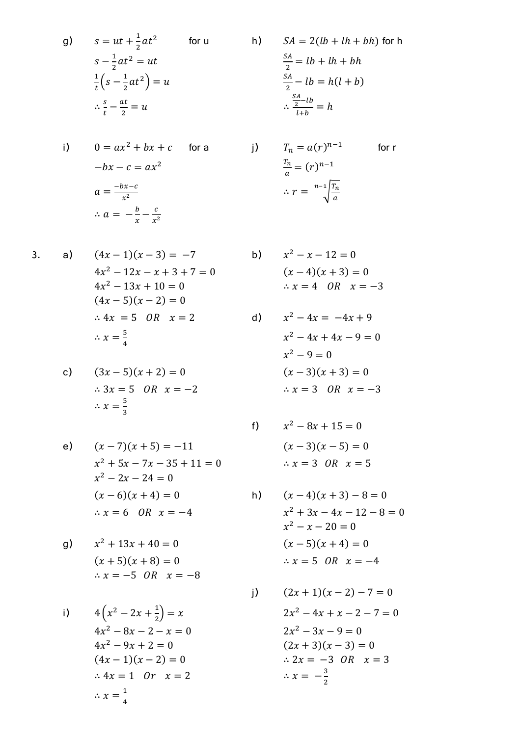g) 
$$
s = ut + \frac{1}{2}at^2
$$
 for u  
\n $s - \frac{1}{2}at^2 = ut$   
\n $\frac{1}{t}(s - \frac{1}{2}at^2) = u$   
\n $\therefore \frac{s}{t} - \frac{at}{2} = u$ 

i) 
$$
0 = ax^{2} + bx + c \quad \text{for a} \quad j)
$$

$$
-bx - c = ax^{2}
$$

$$
a = \frac{-bx - c}{x^{2}}
$$

$$
\therefore a = -\frac{b}{x} - \frac{c}{x^{2}}
$$

$$
3. \quad
$$

 $a)$ 

$$
(4x - 1)(x - 3) = -7
$$
  
\n
$$
4x2 - 12x - x + 3 + 7 = 0
$$
  
\n
$$
4x2 - 13x + 10 = 0
$$
  
\n
$$
(4x - 5)(x - 2) = 0
$$
  
\n
$$
\therefore 4x = 5 \quad OR \quad x = 2
$$
  
\n
$$
\therefore x = \frac{5}{4}
$$

c) 
$$
(3x - 5)(x + 2) = 0
$$
  
\n $\therefore 3x = 5 \text{ OR } x = -2$   
\n $\therefore x = \frac{5}{3}$ 

e) 
$$
(x-7)(x+5) = -11
$$
  
\n $x^2 + 5x - 7x - 35 + 11 = 0$   
\n $x^2 - 2x - 24 = 0$   
\n $(x-6)(x+4) = 0$   
\n $\therefore x = 6 \quad OR \quad x = -4$ 

g) 
$$
x^2 + 13x + 40 = 0
$$
  
\n $(x + 5)(x + 8) = 0$   
\n $\therefore x = -5 \quad OR \quad x = -8$ 

i) 
$$
4\left(x^2 - 2x + \frac{1}{2}\right) = x
$$

$$
4x^2 - 8x - 2 - x = 0
$$

$$
4x^2 - 9x + 2 = 0
$$

$$
(4x - 1)(x - 2) = 0
$$

$$
\therefore 4x = 1 \quad \text{or} \quad x = 2
$$

$$
\therefore x = \frac{1}{4}
$$

h) 
$$
SA = 2(lb + lh + bh) \text{ for h}
$$

$$
\frac{SA}{2} = lb + lh + bh
$$

$$
\frac{SA}{2} - lb = h(l + b)
$$

$$
\therefore \frac{SA - lb}{2} = h
$$

$$
T_n = a(r)^{n-1}
$$
 for r  
\n
$$
\frac{T_n}{a} = (r)^{n-1}
$$
  
\n
$$
\therefore r = \sqrt[T_n]{\frac{T_n}{a}}
$$

$$
x2 - x - 12 = 0
$$
  
(x - 4)(x + 3) = 0  
∴ x = 4 OR x = -3

 $b)$ 

 $\mathsf{d}$ 

 $f)$ 

$$
x2 - 4x = -4x + 9
$$
  
\n
$$
x2 - 4x + 4x - 9 = 0
$$
  
\n
$$
x2 - 9 = 0
$$
  
\n
$$
(x - 3)(x + 3) = 0
$$
  
\n
$$
\therefore x = 3 \quad OR \quad x = -3
$$

$$
x2 - 8x + 15 = 0
$$

$$
(x - 3)(x - 5) = 0
$$

$$
\therefore x = 3 \quad OR \quad x = 5
$$

h) 
$$
(x-4)(x+3)-8=0
$$
  
\n $x^2 + 3x - 4x - 12 - 8 = 0$   
\n $x^2 - x - 20 = 0$   
\n $(x-5)(x+4) = 0$   
\n $\therefore x = 5 \quad OR \quad x = -4$ 

j) 
$$
(2x + 1)(x - 2) - 7 = 0
$$
  
\n $2x^2 - 4x + x - 2 - 7 = 0$   
\n $2x^2 - 3x - 9 = 0$   
\n $(2x + 3)(x - 3) = 0$   
\n $\therefore 2x = -3 \quad OR \quad x = 3$   
\n $\therefore x = -\frac{3}{2}$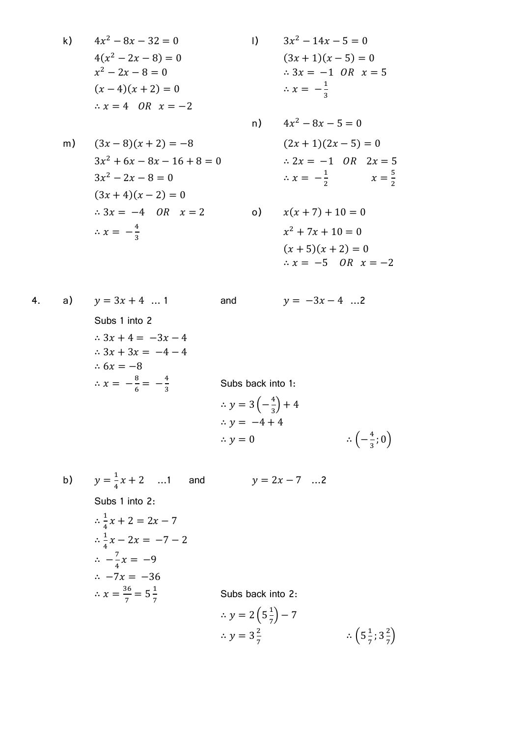k) 
$$
4x^2 - 8x - 32 = 0
$$
  
\n $4(x^2 - 2x - 8) = 0$   
\n $x^2 - 2x - 8 = 0$   
\n $(x - 4)(x + 2) = 0$   
\n $\therefore x = 4$  OR  $x = -2$   
\n9)  $3x^2 - 14x - 5 = 0$   
\n $(3x + 1)(x - 5) = 0$   
\n $\therefore x = -\frac{1}{3}$   
\n10)  $3x^2 - 14x - 5 = 0$   
\n $(3x + 1)(x - 5) = 0$   
\n $\therefore x = -\frac{1}{3}$ 

$$
3x2 - 14x - 5 = 0
$$
  
(3x + 1)(x - 5) = 0  
 $\therefore$  3x = -1 OR x = 5  
 $\therefore$  x =  $-\frac{1}{3}$ 

n)

m) 
$$
(3x-8)(x+2) = -8
$$
  $(2x+1)(2x-5) =$   
\n $3x^2 + 6x - 8x - 16 + 8 = 0$   $\therefore 2x = -1$  OR 2  
\n $3x^2 - 2x - 8 = 0$   $\therefore x = -\frac{1}{2}$   
\n $(3x+4)(x-2) = 0$   
\n $\therefore 3x = -4$  OR  $x = 2$    
\n $\therefore x = -\frac{4}{3}$   $x^2 + 7x + 10 = 0$ 

$$
4x2 - 8x - 5 = 0
$$
  
(2x + 1)(2x - 5) = 0  
 $\therefore$  2x = -1 OR 2x = 5  
 $\therefore$  x = - $\frac{1}{2}$  x =  $\frac{5}{2}$ 

$$
x(x + 7) + 10 = 0
$$
  

$$
x^{2} + 7x + 10 = 0
$$
  

$$
(x + 5)(x + 2) = 0
$$
  

$$
\therefore x = -5 \quad OR \quad x = -2
$$

4. a)  $y = 3x + 4$  ... 1 and  $y = -3x - 4$  ...2 Subs 1 into 2  $\therefore 3x + 4 = -3x - 4$  $\therefore 3x + 3x = -4 - 4$  $\therefore 6x = -8$  $\therefore x = -\frac{8}{6}$  $\frac{8}{6} = -\frac{4}{3}$ 3 Subs back into 1:  $\therefore y = 3\left(-\frac{4}{3}\right)$  $(\frac{4}{3}) +$  $\therefore y = -4 + 4$  $\therefore$  y = 0 4  $\frac{4}{3}$ ; 0)

b)  $y = \frac{1}{4}$  $\frac{1}{4}x + 2$  ...1 and  $y = 2x - 7$  ...2 Subs 1 into 2:  $\therefore \frac{1}{4}$  $\frac{1}{4}x$  $\therefore \frac{1}{7}$  $\frac{1}{4}x$  $\therefore -\frac{7}{4}$  $\frac{7}{4}x$  $\ddot{\cdot}$  $\therefore x = \frac{3}{4}$  $\frac{36}{7} = 5\frac{1}{7}$ 7 Subs back into 2:  $\therefore$  y = 2 (5 $\frac{1}{7}$ )  $\frac{1}{7}$ ) –  $\therefore y = 3\frac{2}{7}$ 7  $\therefore$  (5 $\frac{1}{2}$ )  $\frac{1}{7}$ ; 3 $\frac{2}{7}$  $\frac{2}{7}$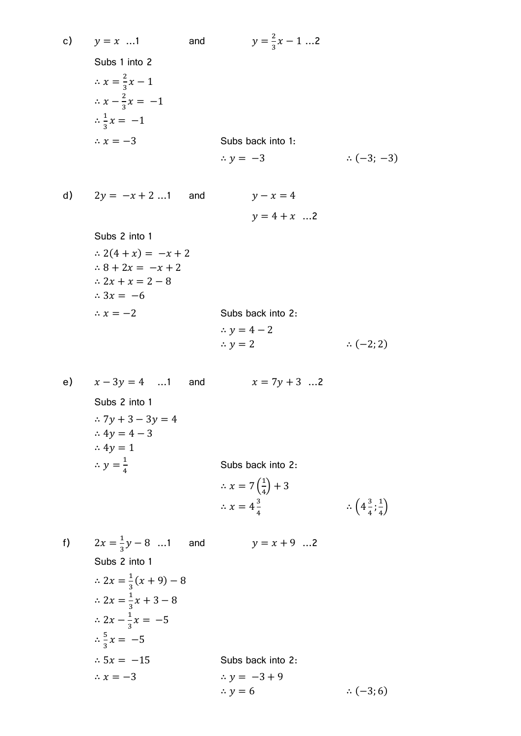c) 
$$
y = x ... 1
$$
 and  $y = \frac{2}{3}x - 1 ... 2$   
\nSubs 1 into 2  
\n $\therefore x = \frac{2}{3}x - 1$   
\n $\therefore x - \frac{2}{3}x = -1$   
\n $\therefore \frac{1}{3}x = -1$   
\n $\therefore x = -3$  Subs back into 1:  
\n $\therefore y = -3$   $\therefore (-3; -3)$   
\n**d)**  $2y = -x + 2 ... 1$  and  $y - x = 4$   
\n $y = 4 + x ... 2$   
\nSubs 2 into 1  
\n $\therefore 2(4 + x) = -x + 2$   
\n $\therefore 8 + 2x = -x + 2$   
\n $\therefore 2x + x = 2 - 8$   
\n $\therefore 3x = -6$   
\n $\therefore x = -2$  Subs back into 2:  
\n $\therefore y = 4 - 2$   
\n $\therefore y = 2$   $\therefore (-2; 2)$   
\n**e)**  $x - 3y = 4 ... 1$  and  $x = 7y + 3 ... 2$   
\nSubs 2 into 1  
\n $\therefore 7y + 3 - 3y = 4$   
\n $\therefore 4y = 4 - 3$   
\n $\therefore 4y = 1$   
\n $\therefore y = \frac{1}{4}$  Subs back into 2:  
\n $\therefore x = 7(\frac{1}{4}) + 3$   
\n $\therefore x = 7(\frac{1}{4}) + 3$   
\n $\therefore x = 4\frac{3}{4}$   $\therefore (\frac{3}{4}; \frac{1}{4})$ 

f)  $2x = \frac{1}{2}$ and  $y = x + 9$  ...2 3 Subs 2 into 1  $\therefore 2x = \frac{1}{2}$  $\frac{1}{3}(x+9)$  –  $\therefore 2x = \frac{1}{2}$  $\frac{1}{3}x$  $\therefore 2x - \frac{1}{2}$  $\frac{1}{3}x$  $\frac{5}{2}$  $\frac{5}{3}x$  $\therefore$  5x = -15 Subs back into 2:  $\therefore x = -3$  $\therefore y = -3 + 9$  $\therefore$  y = 6  $\therefore$  (-3; 6)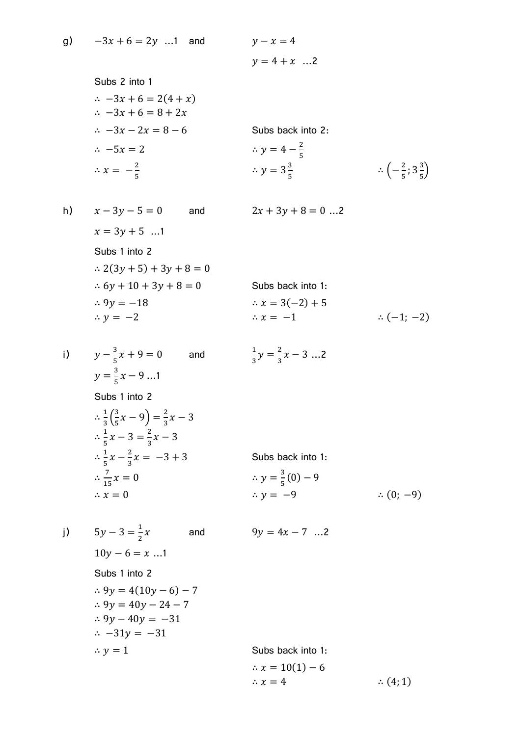Subs 2 into 1  $\therefore -3x + 6 = 2(4 + x)$  $\therefore -3x + 6 = 8 + 2x$  $\therefore$   $-3x - 2x = 8 - 6$  Subs back into 2:  $\therefore -5x = 2$  $\overline{\mathbf{c}}$ 5  $\therefore x = -\frac{2}{5}$ 5  $\therefore y = 3\frac{3}{7}$ 5

h) 
$$
x - 3y - 5 = 0
$$
 and  $2x + 3y + 8 = 0$ ...  
\n $x = 3y + 5$ ...  
\nSubs 1 into 2  
\n $\therefore 2(3y + 5) + 3y + 8 = 0$   
\n $\therefore 6y + 10 + 3y + 8 = 0$   
\n $\therefore 9y = -18$   
\n $\therefore y = -2$   
\n $\therefore x = -1$ 

$$
2x + 3y + 8 = 0 \dots 2
$$

 $\therefore$   $\left(-\frac{2}{5}\right)$ 

 $\frac{2}{5}$ ; 3 $\frac{3}{5}$  $\frac{5}{5}$ 

 $y = 4 + x$  ...2

$$
\therefore 6y + 10 + 3y + 8 = 0
$$
  
\n
$$
\therefore 9y = -18
$$
  
\n
$$
\therefore y = -2
$$
  
\nSubs back into 1:  
\n
$$
\therefore x = 3(-2) + 5
$$
  
\n
$$
\therefore x = -1
$$
  
\n
$$
\therefore (-1; -2)
$$

i) 
$$
y - \frac{3}{5}x + 9 = 0
$$
 and  $\frac{1}{3}y = \frac{2}{3}x - 3$  ... 2  
\n $y = \frac{3}{5}x - 9$  ... 1  
\nSubs 1 into 2  
\n $\therefore \frac{1}{3}(\frac{3}{5}x - 9) = \frac{2}{3}x - 3$   
\n $\therefore \frac{1}{5}x - 3 = \frac{2}{3}x - 3$   
\n $\therefore \frac{1}{5}x - \frac{2}{3}x = -3 + 3$   
\n $\therefore \frac{7}{15}x = 0$   
\n $\therefore x = 0$   
\n $\therefore y = \frac{3}{5}(0) - 9$   
\n $\therefore y = -9$   
\n $\therefore (0; -9)$ 

j)  $5y-3=\frac{1}{2}$  $\overline{c}$ and  $9y = 4x - 7$  ...2  $10y - 6 = x$  ...1 Subs 1 into 2  $.9y = 4(10y - 6) - 7$  $\therefore$  9y = 40y - 24 - 7  $\therefore$  9y - 40y = -31  $\therefore$  -31y = -31  $\therefore y = 1$  Subs back into 1:  $\therefore$   $x = 10(1) - 6$  $\therefore$   $x = 4$   $\therefore$  (4; 1)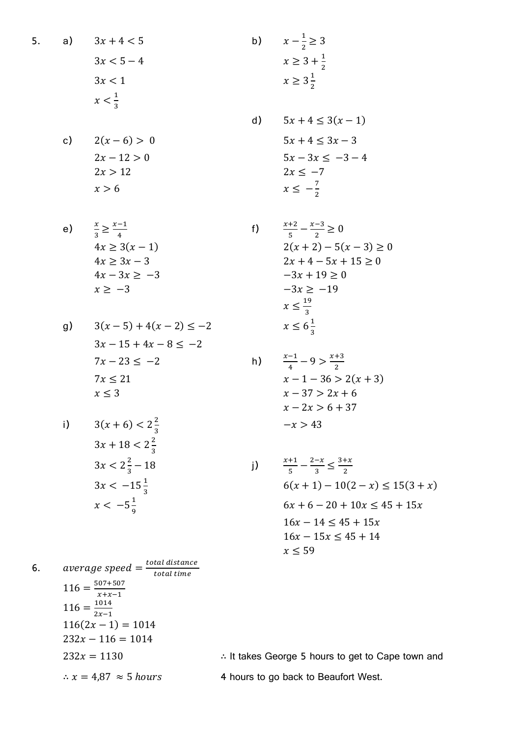a) 
$$
3x + 4 < 5
$$
\n
$$
3x < 5 - 4
$$
\n
$$
3x < 1
$$
\n
$$
x < \frac{1}{2}
$$

$$
3x < 1
$$
\n
$$
x < \frac{1}{3}
$$

c) 
$$
2(x-6) > 0
$$
  
\n $2x - 12 > 0$   
\n $2x > 12$   
\n $x > 6$ 

e) 
$$
\frac{x}{3} \ge \frac{x-1}{4}
$$
  
\n $4x \ge 3(x-1)$   
\n $4x \ge 3x-3$   
\n $4x-3x \ge -3$   
\n $x \ge -3$   
\nf)  $\frac{x+2}{5} - \frac{x-3}{2} \ge 0$   
\n $2(x+2) - 5(x-3) \ge 0$   
\n $2x+4-5x+15 \ge 0$   
\n $-3x+19 \ge 0$   
\n $-3x \ge -19$ 

g) 
$$
3(x-5) + 4(x-2) \le -2
$$
  $x \le 6\frac{1}{3}$   
\n $3x - 15 + 4x - 8 \le -2$   
\n $7x - 23 \le -2$   
\n $7x \le 21$   
\n $x \le 3$   
\nh)  $\frac{x-1}{4} - 9 > \frac{x+3}{2}$   
\n $x - 1 - 36 > 2(x+3)$   
\n $x - 37 > 2x + 6$ 

i) 
$$
3(x+6) < 2\frac{2}{3}
$$
  
\n $3x + 18 < 2\frac{2}{3}$   
\n $3x < 2\frac{2}{3} - 18$   
\n $3x < -15\frac{1}{3}$   
\n $x < -5\frac{1}{9}$   
\nii)  $\frac{x}{6}$ 

6. *average speed* = 
$$
\frac{total distance}{total time}
$$
\n
$$
116 = \frac{507 + 507}{x + x - 1}
$$
\n
$$
116 = \frac{1014}{2x - 1}
$$
\n
$$
116(2x - 1) = 1014
$$
\n
$$
232x - 116 = 1014
$$
\n
$$
232x = 1130
$$
\n
$$
\therefore x = 4.87 \approx 5 hours
$$
\n
$$
x = 4.87 \approx 5 hours
$$
\n
$$
x = 4.87 \approx 5 hours
$$
\n
$$
x = 4.87 \approx 5 hours
$$
\n
$$
x = 4.87 \approx 5 hours
$$
\n
$$
x = 4.87 \approx 5 hours
$$
\n
$$
x = 4.87 \approx 5 hours
$$
\n
$$
x = 4.87 \approx 5 hours
$$
\n
$$
x = 4.87 \approx 5 hours
$$
\n
$$
x = 4.87 \approx 5 hours
$$
\n
$$
x = 4.87 \approx 5 hours
$$

d) 
$$
5x + 4 \le 3(x - 1)
$$
  
\n $5x + 4 \le 3x - 3$   
\n $5x - 3x \le -3 - 4$   
\n $2x \le -7$   
\n $x \le -\frac{7}{2}$ 

 $\mathbf{1}$  $\frac{1}{2} \ge$ 

> $\mathbf{1}$  $\overline{\mathbf{c}}$

 $\mathbf{1}$  $\overline{\mathbf{c}}$ 

f) 
$$
\frac{x+2}{5} - \frac{x-3}{2} \ge 0
$$
  
2(x+2) - 5(x - 3) \ge 0  
2x + 4 - 5x + 15 \ge 0  
-3x + 19 \ge 0  
-3x \ge -19  

$$
x \le \frac{19}{3}
$$
  

$$
x \le 6\frac{1}{3}
$$

$$
\frac{x-1}{4} - 9 > \frac{x+3}{2}
$$
\n
$$
x - 1 - 36 > 2(x+3)
$$
\n
$$
x - 37 > 2x + 6
$$
\n
$$
x - 2x > 6 + 37
$$
\n
$$
-x > 43
$$

$$
\frac{x+1}{5} - \frac{2-x}{3} \le \frac{3+x}{2}
$$
  
6(x + 1) - 10(2 - x) \le 15(3 + x)  
6x + 6 - 20 + 10x \le 45 + 15x  
16x - 14 \le 45 + 15x  
16x - 15x \le 45 + 14  
x \le 59

town and

$$
5.
$$